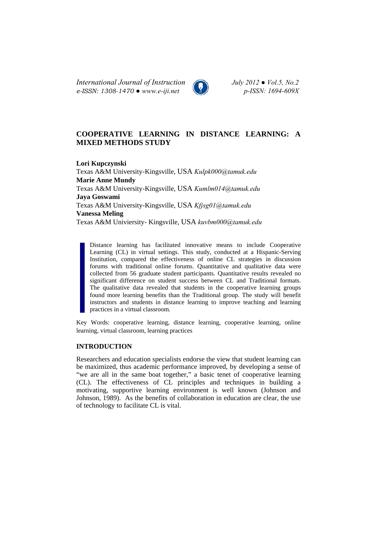*International Journal of Instruction July 2012 ● Vol.5, No.2 e-ISSN: 1308-1470 ● www.e-iji.net p-ISSN: 1694-609X*



# **COOPERATIVE LEARNING IN DISTANCE LEARNING: A MIXED METHODS STUDY**

**Lori Kupczynski**  Texas A&M University-Kingsville, USA *Kulpk000@tamuk.edu* **Marie Anne Mundy**  Texas A&M University-Kingsville, USA *Kumlm014@tamuk.edu* **Jaya Goswami**  Texas A&M University-Kingsville, USA *Kfjsg01@tamuk.edu* **Vanessa Meling**  Texas A&M Univiersity- Kingsville, USA *kuvbm000@tamuk.edu*

Distance learning has facilitated innovative means to include Cooperative Learning (CL) in virtual settings. This study, conducted at a Hispanic-Serving Institution, compared the effectiveness of online CL strategies in discussion forums with traditional online forums. Quantitative and qualitative data were collected from 56 graduate student participants. Quantitative results revealed no significant difference on student success between CL and Traditional formats. The qualitative data revealed that students in the cooperative learning groups found more learning benefits than the Traditional group. The study will benefit instructors and students in distance learning to improve teaching and learning practices in a virtual classroom.

Key Words: cooperative learning, distance learning, cooperative learning, online learning, virtual classroom, learning practices

### **INTRODUCTION**

Researchers and education specialists endorse the view that student learning can be maximized, thus academic performance improved, by developing a sense of "we are all in the same boat together," a basic tenet of cooperative learning (CL). The effectiveness of CL principles and techniques in building a motivating, supportive learning environment is well known (Johnson and Johnson, 1989). As the benefits of collaboration in education are clear, the use of technology to facilitate CL is vital.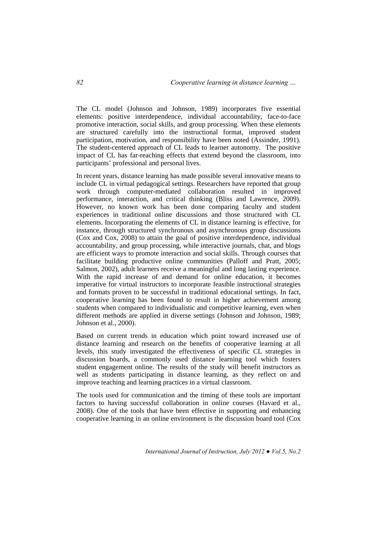The CL model (Johnson and Johnson, 1989) incorporates five essential elements: positive interdependence, individual accountability, face-to-face promotive interaction, social skills, and group processing. When these elements are structured carefully into the instructional format, improved student participation, motivation, and responsibility have been noted (Assinder, 1991). The student-centered approach of CL leads to learner autonomy. The positive impact of CL has far-reaching effects that extend beyond the classroom, into participants' professional and personal lives.

In recent years, distance learning has made possible several innovative means to include CL in virtual pedagogical settings. Researchers have reported that group work through computer-mediated collaboration resulted in improved performance, interaction, and critical thinking (Bliss and Lawrence, 2009). However, no known work has been done comparing faculty and student experiences in traditional online discussions and those structured with CL elements. Incorporating the elements of CL in distance learning is effective, for instance, through structured synchronous and asynchronous group discussions (Cox and Cox, 2008) to attain the goal of positive interdependence, individual accountability, and group processing, while interactive journals, chat, and blogs are efficient ways to promote interaction and social skills. Through courses that facilitate building productive online communities (Palloff and Pratt, 2005; Salmon, 2002), adult learners receive a meaningful and long lasting experience. With the rapid increase of and demand for online education, it becomes imperative for virtual instructors to incorporate feasible instructional strategies and formats proven to be successful in traditional educational settings. In fact, cooperative learning has been found to result in higher achievement among students when compared to individualistic and competitive learning, even when different methods are applied in diverse settings (Johnson and Johnson, 1989; Johnson et al., 2000).

Based on current trends in education which point toward increased use of distance learning and research on the benefits of cooperative learning at all levels, this study investigated the effectiveness of specific CL strategies in discussion boards, a commonly used distance learning tool which fosters student engagement online. The results of the study will benefit instructors as well as students participating in distance learning, as they reflect on and improve teaching and learning practices in a virtual classroom.

The tools used for communication and the timing of these tools are important factors to having successful collaboration in online courses (Havard et al., 2008). One of the tools that have been effective in supporting and enhancing cooperative learning in an online environment is the discussion board tool (Cox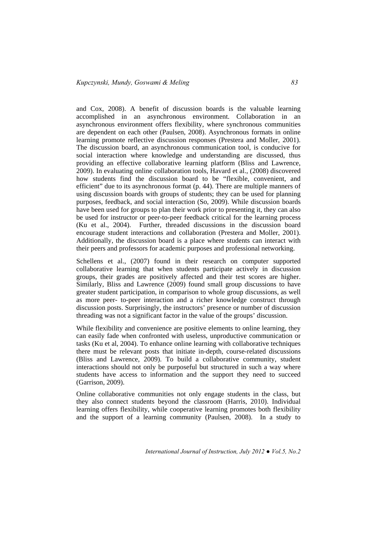and Cox, 2008). A benefit of discussion boards is the valuable learning accomplished in an asynchronous environment. Collaboration in an asynchronous environment offers flexibility, where synchronous communities are dependent on each other (Paulsen, 2008). Asynchronous formats in online learning promote reflective discussion responses (Prestera and Moller, 2001). The discussion board, an asynchronous communication tool, is conducive for social interaction where knowledge and understanding are discussed, thus providing an effective collaborative learning platform (Bliss and Lawrence, 2009). In evaluating online collaboration tools, Havard et al., (2008) discovered how students find the discussion board to be "flexible, convenient, and efficient" due to its asynchronous format (p. 44). There are multiple manners of using discussion boards with groups of students; they can be used for planning purposes, feedback, and social interaction (So, 2009). While discussion boards have been used for groups to plan their work prior to presenting it, they can also be used for instructor or peer-to-peer feedback critical for the learning process (Ku et al., 2004). Further, threaded discussions in the discussion board encourage student interactions and collaboration (Prestera and Moller, 2001). Additionally, the discussion board is a place where students can interact with their peers and professors for academic purposes and professional networking.

Schellens et al., (2007) found in their research on computer supported collaborative learning that when students participate actively in discussion groups, their grades are positively affected and their test scores are higher. Similarly, Bliss and Lawrence (2009) found small group discussions to have greater student participation, in comparison to whole group discussions, as well as more peer- to-peer interaction and a richer knowledge construct through discussion posts. Surprisingly, the instructors' presence or number of discussion threading was not a significant factor in the value of the groups' discussion.

While flexibility and convenience are positive elements to online learning, they can easily fade when confronted with useless, unproductive communication or tasks (Ku et al, 2004). To enhance online learning with collaborative techniques there must be relevant posts that initiate in-depth, course-related discussions (Bliss and Lawrence, 2009). To build a collaborative community, student interactions should not only be purposeful but structured in such a way where students have access to information and the support they need to succeed (Garrison, 2009).

Online collaborative communities not only engage students in the class, but they also connect students beyond the classroom (Harris, 2010). Individual learning offers flexibility, while cooperative learning promotes both flexibility and the support of a learning community (Paulsen, 2008). In a study to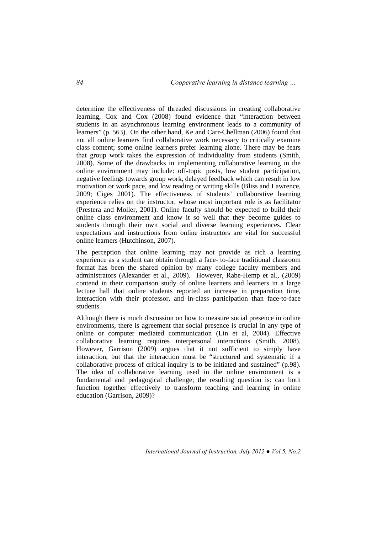determine the effectiveness of threaded discussions in creating collaborative learning, Cox and Cox (2008) found evidence that "interaction between students in an asynchronous learning environment leads to a community of learners" (p. 563). On the other hand, Ke and Carr-Chellman (2006) found that not all online learners find collaborative work necessary to critically examine class content; some online learners prefer learning alone. There may be fears that group work takes the expression of individuality from students (Smith, 2008). Some of the drawbacks in implementing collaborative learning in the online environment may include: off-topic posts, low student participation, negative feelings towards group work, delayed feedback which can result in low motivation or work pace, and low reading or writing skills (Bliss and Lawrence, 2009; Ciges 2001). The effectiveness of students' collaborative learning experience relies on the instructor, whose most important role is as facilitator (Prestera and Moller, 2001). Online faculty should be expected to build their online class environment and know it so well that they become guides to students through their own social and diverse learning experiences. Clear expectations and instructions from online instructors are vital for successful online learners (Hutchinson, 2007).

The perception that online learning may not provide as rich a learning experience as a student can obtain through a face- to-face traditional classroom format has been the shared opinion by many college faculty members and administrators (Alexander et al., 2009). However, Rabe-Hemp et al., (2009) contend in their comparison study of online learners and learners in a large lecture hall that online students reported an increase in preparation time, interaction with their professor, and in-class participation than face-to-face students.

Although there is much discussion on how to measure social presence in online environments, there is agreement that social presence is crucial in any type of online or computer mediated communication (Lin et al, 2004). Effective collaborative learning requires interpersonal interactions (Smith, 2008). However, Garrison (2009) argues that it not sufficient to simply have interaction, but that the interaction must be "structured and systematic if a collaborative process of critical inquiry is to be initiated and sustained" (p.98). The idea of collaborative learning used in the online environment is a fundamental and pedagogical challenge; the resulting question is: can both function together effectively to transform teaching and learning in online education (Garrison, 2009)?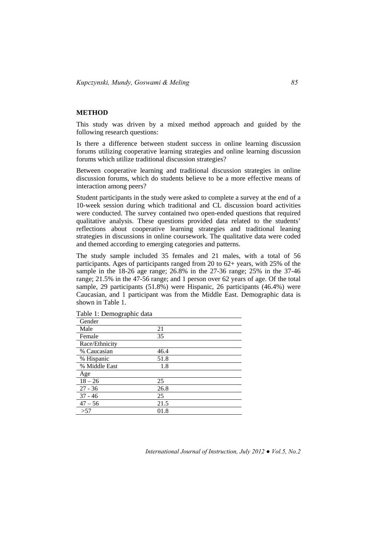#### **METHOD**

This study was driven by a mixed method approach and guided by the following research questions:

Is there a difference between student success in online learning discussion forums utilizing cooperative learning strategies and online learning discussion forums which utilize traditional discussion strategies?

Between cooperative learning and traditional discussion strategies in online discussion forums, which do students believe to be a more effective means of interaction among peers?

Student participants in the study were asked to complete a survey at the end of a 10-week session during which traditional and CL discussion board activities were conducted. The survey contained two open-ended questions that required qualitative analysis. These questions provided data related to the students' reflections about cooperative learning strategies and traditional leaning strategies in discussions in online coursework. The qualitative data were coded and themed according to emerging categories and patterns.

The study sample included 35 females and 21 males, with a total of 56 participants. Ages of participants ranged from 20 to 62+ years, with 25% of the sample in the 18-26 age range; 26.8% in the 27-36 range; 25% in the 37-46 range; 21.5% in the 47-56 range; and 1 person over 62 years of age. Of the total sample, 29 participants (51.8%) were Hispanic, 26 participants (46.4%) were Caucasian, and 1 participant was from the Middle East. Demographic data is shown in Table 1.

| Gender         |      |
|----------------|------|
| Male           | 21   |
| Female         | 35   |
| Race/Ethnicity |      |
| % Caucasian    | 46.4 |
| % Hispanic     | 51.8 |
| % Middle East  | 1.8  |
| Age            |      |
| $18 - 26$      | 25   |
| $27 - 36$      | 26.8 |
| $37 - 46$      | 25   |
| $47 - 56$      | 21.5 |
| >57            | 01.8 |

Table 1: Demographic data

*International Journal of Instruction, July 2012 ● Vol.5, No.2*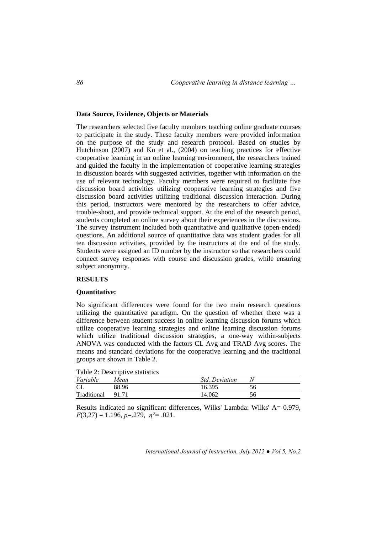### **Data Source, Evidence, Objects or Materials**

The researchers selected five faculty members teaching online graduate courses to participate in the study. These faculty members were provided information on the purpose of the study and research protocol. Based on studies by Hutchinson (2007) and Ku et al., (2004) on teaching practices for effective cooperative learning in an online learning environment, the researchers trained and guided the faculty in the implementation of cooperative learning strategies in discussion boards with suggested activities, together with information on the use of relevant technology. Faculty members were required to facilitate five discussion board activities utilizing cooperative learning strategies and five discussion board activities utilizing traditional discussion interaction. During this period, instructors were mentored by the researchers to offer advice, trouble-shoot, and provide technical support. At the end of the research period, students completed an online survey about their experiences in the discussions. The survey instrument included both quantitative and qualitative (open-ended) questions. An additional source of quantitative data was student grades for all ten discussion activities, provided by the instructors at the end of the study. Students were assigned an ID number by the instructor so that researchers could connect survey responses with course and discussion grades, while ensuring subject anonymity.

### **RESULTS**

#### **Quantitative:**

No significant differences were found for the two main research questions utilizing the quantitative paradigm. On the question of whether there was a difference between student success in online learning discussion forums which utilize cooperative learning strategies and online learning discussion forums which utilize traditional discussion strategies, a one-way within-subjects ANOVA was conducted with the factors CL Avg and TRAD Avg scores. The means and standard deviations for the cooperative learning and the traditional groups are shown in Table 2.

Table 2: Descriptive statistics

| Variable    | Mean  | <b>Std.</b> Deviation |    |  |
|-------------|-------|-----------------------|----|--|
| CL          | 88.96 | 16.395                | 56 |  |
| Traditional | 91.71 | 14.062                | 56 |  |

Results indicated no significant differences, Wilks' Lambda: Wilks' A= 0.979, *F*(3,27) = 1.196, *p*=.279, *η²=* .021.

*International Journal of Instruction, July 2012 ● Vol.5, No.2*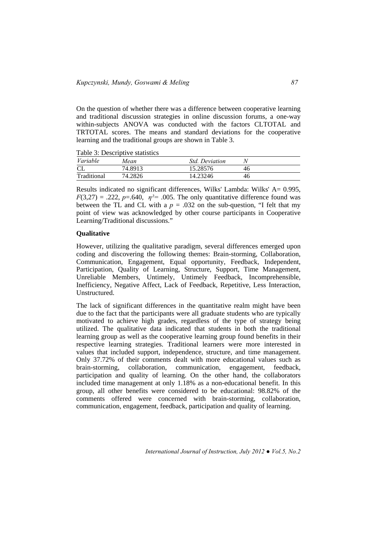On the question of whether there was a difference between cooperative learning and traditional discussion strategies in online discussion forums, a one-way within-subjects ANOVA was conducted with the factors CLTOTAL and TRTOTAL scores. The means and standard deviations for the cooperative learning and the traditional groups are shown in Table 3.

Table 3: Descriptive statistics

| Variable    | Mean    | <i>Std. Deviation</i> |    |
|-------------|---------|-----------------------|----|
| CL          | 74.8913 | 15.28576              | 46 |
| Traditional | 74.2826 | 14.23246              | 46 |

Results indicated no significant differences, Wilks' Lambda: Wilks' A= 0.995,  $F(3,27) = .222$ ,  $p=640$ ,  $p^2 = .005$ . The only quantitative difference found was between the TL and CL with a  $p = .032$  on the sub-question, "I felt that my point of view was acknowledged by other course participants in Cooperative Learning/Traditional discussions."

## **Qualitative**

However, utilizing the qualitative paradigm, several differences emerged upon coding and discovering the following themes: Brain-storming, Collaboration, Communication, Engagement, Equal opportunity, Feedback, Independent, Participation, Quality of Learning, Structure, Support, Time Management, Unreliable Members, Untimely, Untimely Feedback, Incomprehensible, Inefficiency, Negative Affect, Lack of Feedback, Repetitive, Less Interaction, Unstructured.

The lack of significant differences in the quantitative realm might have been due to the fact that the participants were all graduate students who are typically motivated to achieve high grades, regardless of the type of strategy being utilized. The qualitative data indicated that students in both the traditional learning group as well as the cooperative learning group found benefits in their respective learning strategies. Traditional learners were more interested in values that included support, independence, structure, and time management. Only 37.72% of their comments dealt with more educational values such as brain-storming, collaboration, communication, engagement, feedback, participation and quality of learning. On the other hand, the collaborators included time management at only 1.18% as a non-educational benefit. In this group, all other benefits were considered to be educational: 98.82% of the comments offered were concerned with brain-storming, collaboration, communication, engagement, feedback, participation and quality of learning.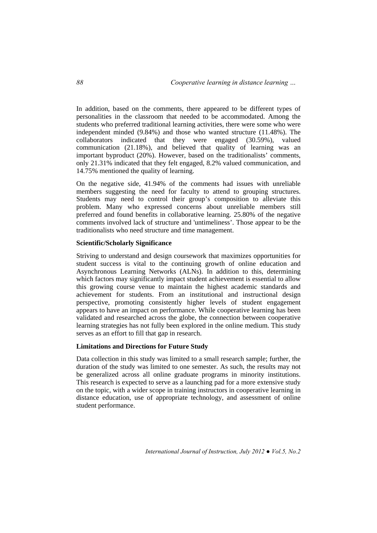In addition, based on the comments, there appeared to be different types of personalities in the classroom that needed to be accommodated. Among the students who preferred traditional learning activities, there were some who were independent minded (9.84%) and those who wanted structure (11.48%). The collaborators indicated that they were engaged (30.59%), valued communication (21.18%), and believed that quality of learning was an important byproduct (20%). However, based on the traditionalists' comments, only 21.31% indicated that they felt engaged, 8.2% valued communication, and 14.75% mentioned the quality of learning.

On the negative side, 41.94% of the comments had issues with unreliable members suggesting the need for faculty to attend to grouping structures. Students may need to control their group's composition to alleviate this problem. Many who expressed concerns about unreliable members still preferred and found benefits in collaborative learning. 25.80% of the negative comments involved lack of structure and 'untimeliness'. Those appear to be the traditionalists who need structure and time management.

### **Scientific/Scholarly Significance**

Striving to understand and design coursework that maximizes opportunities for student success is vital to the continuing growth of online education and Asynchronous Learning Networks (ALNs). In addition to this, determining which factors may significantly impact student achievement is essential to allow this growing course venue to maintain the highest academic standards and achievement for students. From an institutional and instructional design perspective, promoting consistently higher levels of student engagement appears to have an impact on performance. While cooperative learning has been validated and researched across the globe, the connection between cooperative learning strategies has not fully been explored in the online medium. This study serves as an effort to fill that gap in research.

#### **Limitations and Directions for Future Study**

Data collection in this study was limited to a small research sample; further, the duration of the study was limited to one semester. As such, the results may not be generalized across all online graduate programs in minority institutions. This research is expected to serve as a launching pad for a more extensive study on the topic, with a wider scope in training instructors in cooperative learning in distance education, use of appropriate technology, and assessment of online student performance.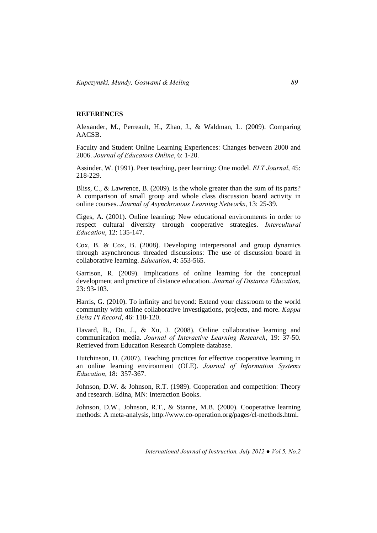#### **REFERENCES**

Alexander, M., Perreault, H., Zhao, J., & Waldman, L. (2009). Comparing AACSB.

Faculty and Student Online Learning Experiences: Changes between 2000 and 2006. *Journal of Educators Online*, 6: 1-20.

Assinder, W. (1991). Peer teaching, peer learning: One model. *ELT Journal*, 45: 218-229.

Bliss, C., & Lawrence, B. (2009). Is the whole greater than the sum of its parts? A comparison of small group and whole class discussion board activity in online courses. *Journal of Asynchronous Learning Networks*, 13: 25-39.

Ciges, A. (2001). Online learning: New educational environments in order to respect cultural diversity through cooperative strategies. *Intercultural Education*, 12: 135-147.

Cox, B. & Cox, B. (2008). Developing interpersonal and group dynamics through asynchronous threaded discussions: The use of discussion board in collaborative learning. *Education*, 4: 553-565.

Garrison, R. (2009). Implications of online learning for the conceptual development and practice of distance education. *Journal of Distance Education*, 23: 93-103.

Harris, G. (2010). To infinity and beyond: Extend your classroom to the world community with online collaborative investigations, projects, and more. *Kappa Delta Pi Record*, 46: 118-120.

Havard, B., Du, J., & Xu, J. (2008). Online collaborative learning and communication media. *Journal of Interactive Learning Research*, 19: 37-50. Retrieved from Education Research Complete database.

Hutchinson, D. (2007). Teaching practices for effective cooperative learning in an online learning environment (OLE). *Journal of Information Systems Education*, 18: 357-367.

Johnson, D.W. & Johnson, R.T. (1989). Cooperation and competition: Theory and research. Edina, MN: Interaction Books.

Johnson, D.W., Johnson, R.T., & Stanne, M.B. (2000). Cooperative learning methods: A meta-analysis, http://www.co-operation.org/pages/cl-methods.html.